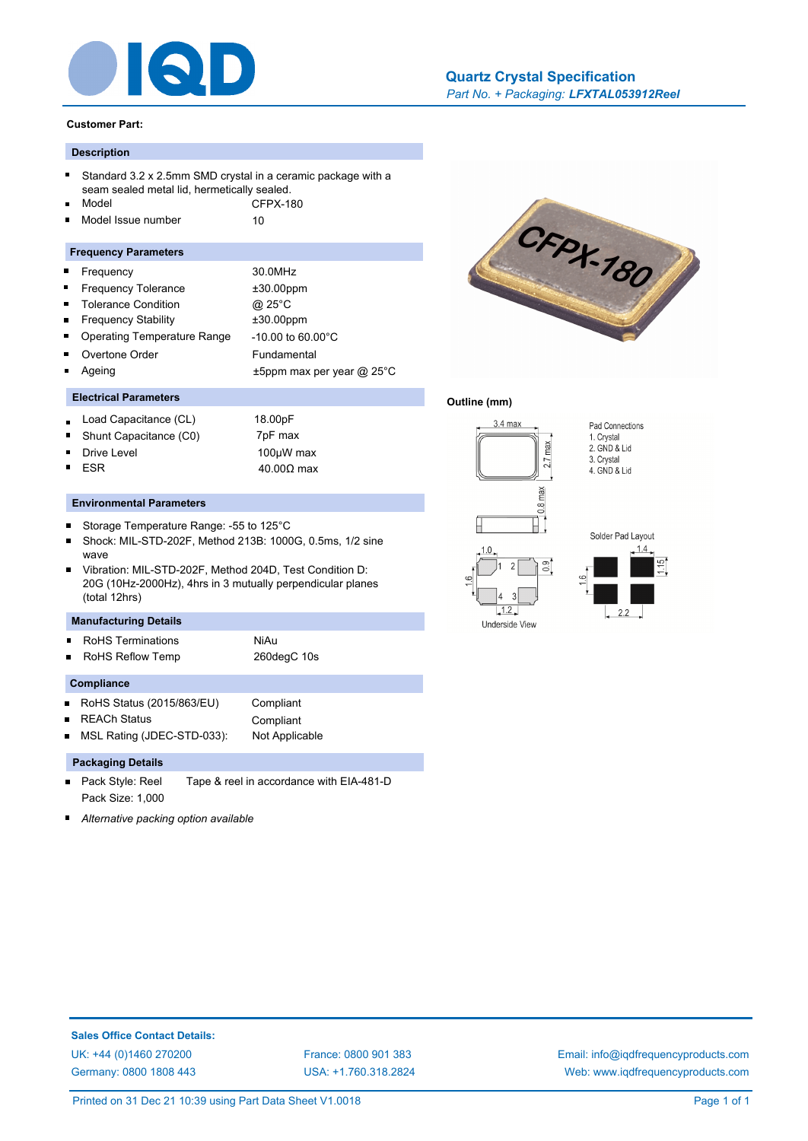

## **Customer Part:**

## **Description**

- Standard 3.2 x 2.5mm SMD crystal in a ceramic package with a seam sealed metal lid, hermetically sealed.
- Model CFPX-180 Model Issue number 10
- ř.

## **Frequency Parameters**

- Frequency 30.0MHz Ē  $\blacksquare$ Frequency Tolerance  $\pm 30.00$ ppm  $\blacksquare$ Tolerance Condition @ 25°C Frequency Stability ±30.00ppm É Operating Temperature Range -10.00 to 60.00°C Overtone Order Fundamental
- Ageing t5ppm max per year @ 25°C

## **Electrical Parameters**

- Load Capacitance (CL) 18.00pF
- Shunt Capacitance (C0) 7pF max
- Drive Level 2000 100µW max ESR  $40.00Ω$  max

#### **Environmental Parameters**

- $\blacksquare$ Storage Temperature Range: -55 to 125°C
- Shock: MIL-STD-202F, Method 213B: 1000G, 0.5ms, 1/2 sine wave
- Vibration: MIL-STD-202F, Method 204D, Test Condition D: 20G (10Hz-2000Hz), 4hrs in 3 mutually perpendicular planes (total 12hrs)

## **Manufacturing Details**

- RoHS Terminations **NiAu**
- RoHS Reflow Temp 260degC 10s

## **Compliance**

- RoHS Status (2015/863/EU) Compliant
- REACh Status Compliant

MSL Rating (JDEC-STD-033): Not Applicable

## **Packaging Details**

- Pack Style: Reel Tape & reel in accordance with EIA-481-D Pack Size: 1,000
- *Alternative packing option available*



### **Outline (mm)**







[USA: +1.760.318.2824](http://www.iqdfrequencyproducts.com)

[Email: info@iqdfrequencyproducts.com](mailto:info@iqdfrequencyproducts.com) [Web: www.iqdfrequencyproducts.com](http://www.iqdfrequencyproducts.com)